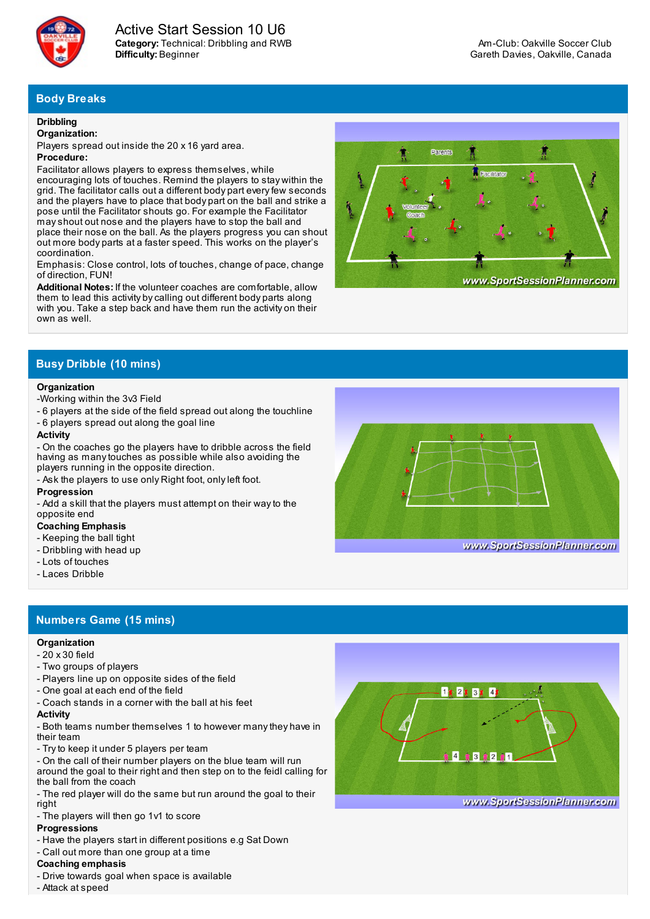

**Category:** Technical: Dribbling and RWB **Difficulty:** Beginner Active Start Session 10 U6

# **Body Breaks**

#### **Dribbling**

#### **Organization:**

Players spread out inside the 20 x 16 yard area.

## **Procedure:**

Facilitator allows players to express themselves, while encouraging lots of touches. Remind the players to stay within the grid. The facilitator calls out a different body part everyfew seconds and the players have to place that body part on the ball and strike a pose until the Facilitator shouts go. For example the Facilitator mayshout out nose and the players have to stop the ball and place their nose on the ball. As the players progress you can shout out more body parts at a faster speed. This works on the player's coordination.

Emphasis: Close control, lots of touches, change of pace, change of direction, FUN!

**Additional Notes:** If the volunteer coaches are comfortable, allow them to lead this activity bycalling out different body parts along with you. Take a step back and have them run the activity on their own as well.



# **Busy Dribble (10 mins)**

#### **Organization**

# -Working within the 3v3 Field

- 6 players at the side of the field spread out along the touchline
- 6 players spread out along the goal line

#### **Activity**

- On the coaches go the players have to dribble across the field having as manytouches as possible while also avoiding the players running in the opposite direction.

- Ask the players to use only Right foot, onlyleft foot.

#### **Progression**

- Add a skill that the players must attempt on their wayto the opposite end

## **Coaching Emphasis**

- Keeping the ball tight
- Dribbling with head up
- Lots of touches
- Laces Dribble

# **Numbers Game (15 mins)**

#### **Organization**

- 20 x 30 field
- Two groups of players
- Players line up on opposite sides of the field
- One goal at each end of the field
- Coach stands in a corner with the ball at his feet

#### **Activity**

- Both teams number themselves 1 to however manythey have in their team

- Tryto keep it under 5 players per team

- On the call of their number players on the blue team will run around the goal to their right and then step on to the feidl calling for the ball from the coach

- The red player will do the same but run around the goal to their right
- The players will then go 1v1 to score

### **Progressions**

- Have the players start in different positions e.g Sat Down
- Call out more than one group at a time

## **Coaching emphasis**

- Drive towards goal when space is available
- Attack at speed